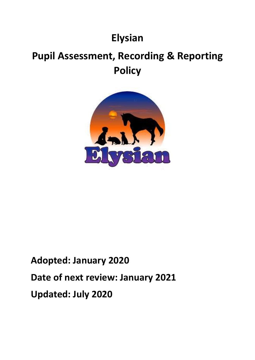# **Elysian**

# **Pupil Assessment, Recording & Reporting Policy**



# **Adopted: January 2020 Date of next review: January 2021 Updated: July 2020**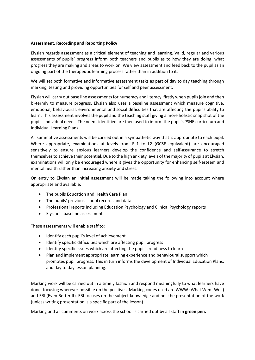#### **Assessment, Recording and Reporting Policy**

Elysian regards assessment as a critical element of teaching and learning. Valid, regular and various assessments of pupils' progress inform both teachers and pupils as to how they are doing, what progress they are making and areas to work on. We view assessment and feed back to the pupil as an ongoing part of the therapeutic learning process rather than in addition to it.

We will set both formative and informative assessment tasks as part of day to day teaching through marking, testing and providing opportunities for self and peer assessment.

Elysian will carry out base line assessments for numeracy and literacy, firstly when pupils join and then bi-termly to measure progress. Elysian also uses a baseline assessment which measure cognitive, emotional, behavioural, environmental and social difficulties that are affecting the pupil's ability to learn. This assessment involves the pupil and the teaching staff giving a more holistic snap shot of the pupil's individual needs. The needs identified are then used to inform the pupil's PSHE curriculum and Individual Learning Plans.

All summative assessments will be carried out in a sympathetic way that is appropriate to each pupil. Where appropriate, examinations at levels from EL1 to L2 (GCSE equivalent) are encouraged sensitively to ensure anxious learners develop the confidence and self-assurance to stretch themselves to achieve their potential. Due to the high anxiety levels of the majority of pupils at Elysian, examinations will only be encouraged where it gives the opportunity for enhancing self-esteem and mental health rather than increasing anxiety and stress.

On entry to Elysian an initial assessment will be made taking the following into account where appropriate and available:

- The pupils Education and Health Care Plan
- The pupils' previous school records and data
- Professional reports including Education Psychology and Clinical Psychology reports
- Elysian's baseline assessments

These assessments will enable staff to:

- Identify each pupil's level of achievement
- Identify specific difficulties which are affecting pupil progress
- Identify specific issues which are affecting the pupil's readiness to learn
- Plan and implement appropriate learning experience and behavioural support which promotes pupil progress. This in turn informs the development of Individual Education Plans, and day to day lesson planning.

Marking work will be carried out in a timely fashion and respond meaningfully to what learners have done, focusing wherever possible on the positives. Marking codes used are WWW (What Went Well) and EBI (Even Better If). EBI focuses on the subject knowledge and not the presentation of the work (unless writing presentation is a specific part of the lesson)

Marking and all comments on work across the school is carried out by all staff **in green pen.**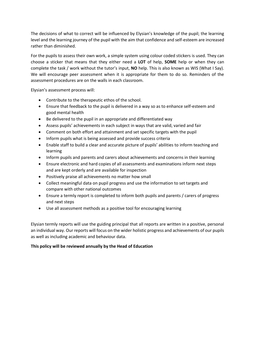The decisions of what to correct will be influenced by Elysian's knowledge of the pupil; the learning level and the learning journey of the pupil with the aim that confidence and self-esteem are increased rather than diminished.

For the pupils to assess their own work, a simple system using colour coded stickers is used. They can choose a sticker that means that they either need a **LOT** of help, **SOME** help or when they can complete the task / work without the tutor's input, **NO** help. This is also known as WIS (What I Say). We will encourage peer assessment when it is appropriate for them to do so. Reminders of the assessment procedures are on the walls in each classroom.

Elysian's assessment process will:

- Contribute to the therapeutic ethos of the school.
- Ensure that feedback to the pupil is delivered in a way so as to enhance self-esteem and good mental health
- Be delivered to the pupil in an appropriate and differentiated way
- Assess pupils' achievements in each subject in ways that are valid, varied and fair
- Comment on both effort and attainment and set specific targets with the pupil
- Inform pupils what is being assessed and provide success criteria
- Enable staff to build a clear and accurate picture of pupils' abilities to inform teaching and learning
- Inform pupils and parents and carers about achievements and concerns in their learning
- Ensure electronic and hard copies of all assessments and examinations inform next steps and are kept orderly and are available for inspection
- Positively praise all achievements no matter how small
- Collect meaningful data on pupil progress and use the information to set targets and compare with other national outcomes
- Ensure a termly report is completed to inform both pupils and parents / carers of progress and next steps
- Use all assessment methods as a positive tool for encouraging learning

Elysian termly reports will use the guiding principal that all reports are written in a positive, personal an individual way. Our reports will focus on the wider holistic progress and achievements of our pupils as well as including academic and behaviour data.

#### **This policy will be reviewed annually by the Head of Education**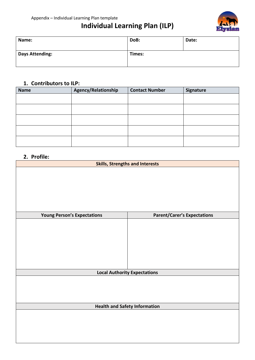### **Individual Learning Plan (ILP)**



| Name:                  | DoB:   | Date: |
|------------------------|--------|-------|
| <b>Days Attending:</b> | Times: |       |

#### **1. Contributors to ILP:**

| <b>Name</b> | Agency/Relationship | <b>Contact Number</b> | Signature |
|-------------|---------------------|-----------------------|-----------|
|             |                     |                       |           |
|             |                     |                       |           |
|             |                     |                       |           |
|             |                     |                       |           |
|             |                     |                       |           |

#### **2. Profile:**

| <b>Skills, Strengths and Interests</b> |                                     |  |
|----------------------------------------|-------------------------------------|--|
|                                        |                                     |  |
|                                        |                                     |  |
|                                        |                                     |  |
|                                        |                                     |  |
|                                        |                                     |  |
| <b>Young Person's Expectations</b>     | <b>Parent/Carer's Expectations</b>  |  |
|                                        |                                     |  |
|                                        |                                     |  |
|                                        |                                     |  |
|                                        |                                     |  |
|                                        |                                     |  |
|                                        |                                     |  |
|                                        |                                     |  |
|                                        | <b>Local Authority Expectations</b> |  |
|                                        |                                     |  |
|                                        |                                     |  |
|                                        |                                     |  |
| <b>Health and Safety Information</b>   |                                     |  |
|                                        |                                     |  |
|                                        |                                     |  |
|                                        |                                     |  |
|                                        |                                     |  |
|                                        |                                     |  |